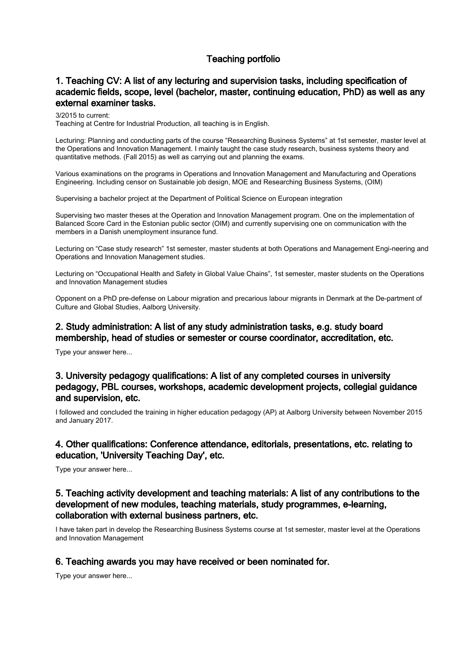# Teaching portfolio

## 1. Teaching CV: A list of any lecturing and supervision tasks, including specification of academic fields, scope, level (bachelor, master, continuing education, PhD) as well as any external examiner tasks.

3/2015 to current: Teaching at Centre for Industrial Production, all teaching is in English.

Lecturing: Planning and conducting parts of the course "Researching Business Systems" at 1st semester, master level at the Operations and Innovation Management. I mainly taught the case study research, business systems theory and quantitative methods. (Fall 2015) as well as carrying out and planning the exams.

Various examinations on the programs in Operations and Innovation Management and Manufacturing and Operations Engineering. Including censor on Sustainable job design, MOE and Researching Business Systems, (OIM)

Supervising a bachelor project at the Department of Political Science on European integration

Supervising two master theses at the Operation and Innovation Management program. One on the implementation of Balanced Score Card in the Estonian public sector (OIM) and currently supervising one on communication with the members in a Danish unemployment insurance fund.

Lecturing on "Case study research" 1st semester, master students at both Operations and Management Engi-neering and Operations and Innovation Management studies.

Lecturing on "Occupational Health and Safety in Global Value Chains", 1st semester, master students on the Operations and Innovation Management studies

Opponent on a PhD pre-defense on Labour migration and precarious labour migrants in Denmark at the De-partment of Culture and Global Studies, Aalborg University.

## 2. Study administration: A list of any study administration tasks, e.g. study board membership, head of studies or semester or course coordinator, accreditation, etc.

Type your answer here...

### 3. University pedagogy qualifications: A list of any completed courses in university pedagogy, PBL courses, workshops, academic development projects, collegial guidance and supervision, etc.

I followed and concluded the training in higher education pedagogy (AP) at Aalborg University between November 2015 and January 2017.

### 4. Other qualifications: Conference attendance, editorials, presentations, etc. relating to education, 'University Teaching Day', etc.

Type your answer here...

## 5. Teaching activity development and teaching materials: A list of any contributions to the development of new modules, teaching materials, study programmes, e-learning, collaboration with external business partners, etc.

I have taken part in develop the Researching Business Systems course at 1st semester, master level at the Operations and Innovation Management

### 6. Teaching awards you may have received or been nominated for.

Type your answer here...